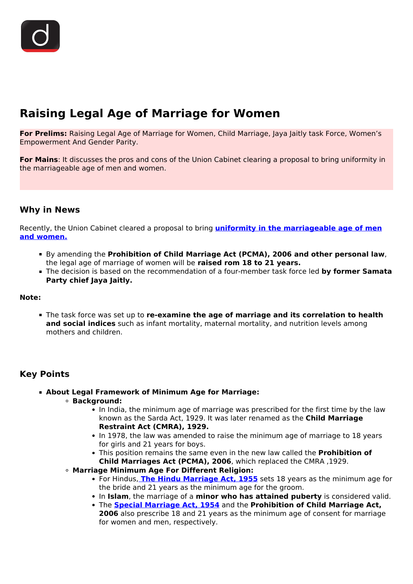# **Raising Legal Age of Marriage for Women**

**For Prelims:** Raising Legal Age of Marriage for Women, Child Marriage, Jaya Jaitly task Force, Women's Empowerment And Gender Parity.

**For Mains**: It discusses the pros and cons of the Union Cabinet clearing a proposal to bring uniformity in the marriageable age of men and women.

#### **Why in News**

Recently, the Union Cabinet cleared a proposal to bring **[uniformity in the marriageable age of men](/to-the-points/Paper2/marriageable-age-for-women) [and women.](/to-the-points/Paper2/marriageable-age-for-women)**

- By amending the **Prohibition of Child Marriage Act (PCMA), 2006 and other personal law**, the legal age of marriage of women will be **raised rom 18 to 21 years.**
- The decision is based on the recommendation of a four-member task force led **by former Samata Party chief Jaya Jaitly.**

#### **Note:**

The task force was set up to **re-examine the age of marriage and its correlation to health and social indices** such as infant mortality, maternal mortality, and nutrition levels among mothers and children.

### **Key Points**

- **About Legal Framework of Minimum Age for Marriage:**
	- **Background:**
		- In India, the minimum age of marriage was prescribed for the first time by the law known as the Sarda Act, 1929. It was later renamed as the **Child Marriage Restraint Act (CMRA), 1929.**
		- In 1978, the law was amended to raise the minimum age of marriage to 18 years for girls and 21 years for boys.
		- This position remains the same even in the new law called the **Prohibition of Child Marriages Act (PCMA), 2006**, which replaced the CMRA ,1929.
	- **Marriage Minimum Age For Different Religion:**
		- For Hindus, **[The Hindu Marriage Act, 1955](/to-the-points/Paper2/uniform-civil-code)** sets 18 years as the minimum age for the bride and 21 years as the minimum age for the groom.
		- In **Islam**, the marriage of a **minor who has attained puberty** is considered valid.
		- **The Special Marriage Act, 1954** and the **Prohibition of Child Marriage Act, 2006** also prescribe 18 and 21 years as the minimum age of consent for marriage for women and men, respectively.